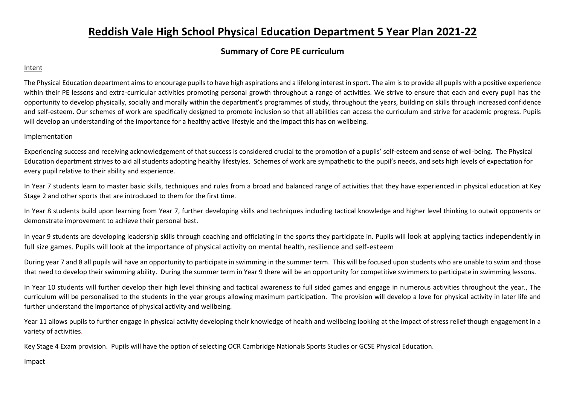# **Reddish Vale High School Physical Education Department 5 Year Plan 2021-22**

# **Summary of Core PE curriculum**

## Intent

The Physical Education department aims to encourage pupils to have high aspirations and a lifelong interest in sport. The aim is to provide all pupils with a positive experience within their PE lessons and extra-curricular activities promoting personal growth throughout a range of activities. We strive to ensure that each and every pupil has the opportunity to develop physically, socially and morally within the department's programmes of study, throughout the years, building on skills through increased confidence and self-esteem. Our schemes of work are specifically designed to promote inclusion so that all abilities can access the curriculum and strive for academic progress. Pupils will develop an understanding of the importance for a healthy active lifestyle and the impact this has on wellbeing.

### Implementation

Experiencing success and receiving acknowledgement of that success is considered crucial to the promotion of a pupils' self-esteem and sense of well-being. The Physical Education department strives to aid all students adopting healthy lifestyles. Schemes of work are sympathetic to the pupil's needs, and sets high levels of expectation for every pupil relative to their ability and experience.

In Year 7 students learn to master basic skills, techniques and rules from a broad and balanced range of activities that they have experienced in physical education at Key Stage 2 and other sports that are introduced to them for the first time.

In Year 8 students build upon learning from Year 7, further developing skills and techniques including tactical knowledge and higher level thinking to outwit opponents or demonstrate improvement to achieve their personal best.

In year 9 students are developing leadership skills through coaching and officiating in the sports they participate in. Pupils will look at applying tactics independently in full size games. Pupils will look at the importance of physical activity on mental health, resilience and self-esteem

During year 7 and 8 all pupils will have an opportunity to participate in swimming in the summer term. This will be focused upon students who are unable to swim and those that need to develop their swimming ability. During the summer term in Year 9 there will be an opportunity for competitive swimmers to participate in swimming lessons.

In Year 10 students will further develop their high level thinking and tactical awareness to full sided games and engage in numerous activities throughout the year., The curriculum will be personalised to the students in the year groups allowing maximum participation. The provision will develop a love for physical activity in later life and further understand the importance of physical activity and wellbeing.

Year 11 allows pupils to further engage in physical activity developing their knowledge of health and wellbeing looking at the impact of stress relief though engagement in a variety of activities.

Key Stage 4 Exam provision. Pupils will have the option of selecting OCR Cambridge Nationals Sports Studies or GCSE Physical Education.

#### Impact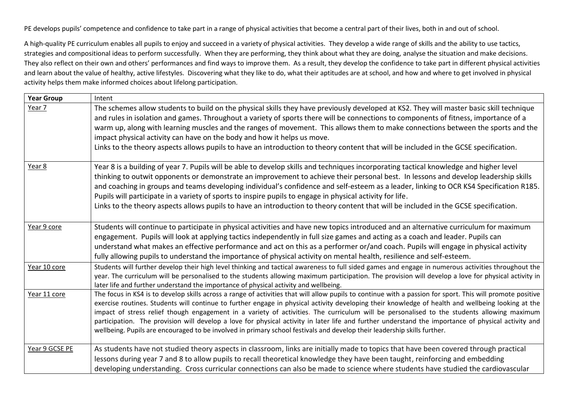PE develops pupils' competence and confidence to take part in a range of physical activities that become a central part of their lives, both in and out of school.

A high-quality PE curriculum enables all pupils to enjoy and succeed in a variety of physical activities. They develop a wide range of skills and the ability to use tactics, strategies and compositional ideas to perform successfully. When they are performing, they think about what they are doing, analyse the situation and make decisions. They also reflect on their own and others' performances and find ways to improve them. As a result, they develop the confidence to take part in different physical activities and learn about the value of healthy, active lifestyles. Discovering what they like to do, what their aptitudes are at school, and how and where to get involved in physical activity helps them make informed choices about lifelong participation.

| <b>Year Group</b> | Intent                                                                                                                                                                                                                                                                                                                                                                                                                                                                                                                                                                                                                                                                                                                                            |
|-------------------|---------------------------------------------------------------------------------------------------------------------------------------------------------------------------------------------------------------------------------------------------------------------------------------------------------------------------------------------------------------------------------------------------------------------------------------------------------------------------------------------------------------------------------------------------------------------------------------------------------------------------------------------------------------------------------------------------------------------------------------------------|
| Year 7            | The schemes allow students to build on the physical skills they have previously developed at KS2. They will master basic skill technique<br>and rules in isolation and games. Throughout a variety of sports there will be connections to components of fitness, importance of a<br>warm up, along with learning muscles and the ranges of movement. This allows them to make connections between the sports and the<br>impact physical activity can have on the body and how it helps us move.<br>Links to the theory aspects allows pupils to have an introduction to theory content that will be included in the GCSE specification.                                                                                                           |
| Year 8            | Year 8 is a building of year 7. Pupils will be able to develop skills and techniques incorporating tactical knowledge and higher level<br>thinking to outwit opponents or demonstrate an improvement to achieve their personal best. In lessons and develop leadership skills<br>and coaching in groups and teams developing individual's confidence and self-esteem as a leader, linking to OCR KS4 Specification R185.<br>Pupils will participate in a variety of sports to inspire pupils to engage in physical activity for life.<br>Links to the theory aspects allows pupils to have an introduction to theory content that will be included in the GCSE specification.                                                                     |
| Year 9 core       | Students will continue to participate in physical activities and have new topics introduced and an alternative curriculum for maximum<br>engagement. Pupils will look at applying tactics independently in full size games and acting as a coach and leader. Pupils can<br>understand what makes an effective performance and act on this as a performer or/and coach. Pupils will engage in physical activity<br>fully allowing pupils to understand the importance of physical activity on mental health, resilience and self-esteem.                                                                                                                                                                                                           |
| Year 10 core      | Students will further develop their high level thinking and tactical awareness to full sided games and engage in numerous activities throughout the<br>year. The curriculum will be personalised to the students allowing maximum participation. The provision will develop a love for physical activity in<br>later life and further understand the importance of physical activity and wellbeing.                                                                                                                                                                                                                                                                                                                                               |
| Year 11 core      | The focus in KS4 is to develop skills across a range of activities that will allow pupils to continue with a passion for sport. This will promote positive<br>exercise routines. Students will continue to further engage in physical activity developing their knowledge of health and wellbeing looking at the<br>impact of stress relief though engagement in a variety of activities. The curriculum will be personalised to the students allowing maximum<br>participation. The provision will develop a love for physical activity in later life and further understand the importance of physical activity and<br>wellbeing. Pupils are encouraged to be involved in primary school festivals and develop their leadership skills further. |
| Year 9 GCSE PE    | As students have not studied theory aspects in classroom, links are initially made to topics that have been covered through practical<br>lessons during year 7 and 8 to allow pupils to recall theoretical knowledge they have been taught, reinforcing and embedding<br>developing understanding. Cross curricular connections can also be made to science where students have studied the cardiovascular                                                                                                                                                                                                                                                                                                                                        |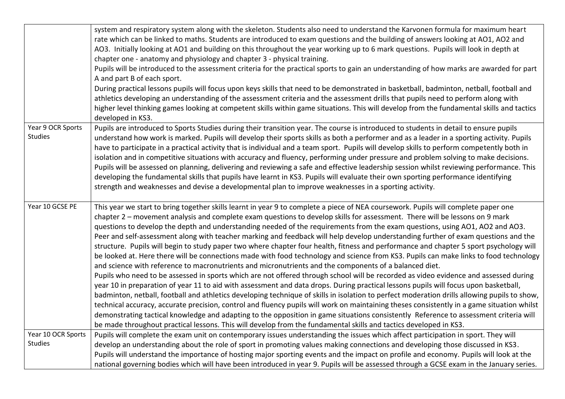|                                     | system and respiratory system along with the skeleton. Students also need to understand the Karvonen formula for maximum heart<br>rate which can be linked to maths. Students are introduced to exam questions and the building of answers looking at AO1, AO2 and<br>AO3. Initially looking at AO1 and building on this throughout the year working up to 6 mark questions. Pupils will look in depth at<br>chapter one - anatomy and physiology and chapter 3 - physical training.<br>Pupils will be introduced to the assessment criteria for the practical sports to gain an understanding of how marks are awarded for part<br>A and part B of each sport.                                                                                                                                                                                                                                                                                                                                                                                                                                                                                                                                                                                                                                                                                                                                                                                                                                                                                                                                                                                                                                                                                                                  |
|-------------------------------------|----------------------------------------------------------------------------------------------------------------------------------------------------------------------------------------------------------------------------------------------------------------------------------------------------------------------------------------------------------------------------------------------------------------------------------------------------------------------------------------------------------------------------------------------------------------------------------------------------------------------------------------------------------------------------------------------------------------------------------------------------------------------------------------------------------------------------------------------------------------------------------------------------------------------------------------------------------------------------------------------------------------------------------------------------------------------------------------------------------------------------------------------------------------------------------------------------------------------------------------------------------------------------------------------------------------------------------------------------------------------------------------------------------------------------------------------------------------------------------------------------------------------------------------------------------------------------------------------------------------------------------------------------------------------------------------------------------------------------------------------------------------------------------|
|                                     | During practical lessons pupils will focus upon keys skills that need to be demonstrated in basketball, badminton, netball, football and<br>athletics developing an understanding of the assessment criteria and the assessment drills that pupils need to perform along with<br>higher level thinking games looking at competent skills within game situations. This will develop from the fundamental skills and tactics<br>developed in KS3.                                                                                                                                                                                                                                                                                                                                                                                                                                                                                                                                                                                                                                                                                                                                                                                                                                                                                                                                                                                                                                                                                                                                                                                                                                                                                                                                  |
| Year 9 OCR Sports<br><b>Studies</b> | Pupils are introduced to Sports Studies during their transition year. The course is introduced to students in detail to ensure pupils<br>understand how work is marked. Pupils will develop their sports skills as both a performer and as a leader in a sporting activity. Pupils<br>have to participate in a practical activity that is individual and a team sport. Pupils will develop skills to perform competently both in<br>isolation and in competitive situations with accuracy and fluency, performing under pressure and problem solving to make decisions.<br>Pupils will be assessed on planning, delivering and reviewing a safe and effective leadership session whilst reviewing performance. This<br>developing the fundamental skills that pupils have learnt in KS3. Pupils will evaluate their own sporting performance identifying<br>strength and weaknesses and devise a developmental plan to improve weaknesses in a sporting activity.                                                                                                                                                                                                                                                                                                                                                                                                                                                                                                                                                                                                                                                                                                                                                                                                                |
| Year 10 GCSE PE                     | This year we start to bring together skills learnt in year 9 to complete a piece of NEA coursework. Pupils will complete paper one<br>chapter 2 – movement analysis and complete exam questions to develop skills for assessment. There will be lessons on 9 mark<br>questions to develop the depth and understanding needed of the requirements from the exam questions, using AO1, AO2 and AO3.<br>Peer and self-assessment along with teacher marking and feedback will help develop understanding further of exam questions and the<br>structure. Pupils will begin to study paper two where chapter four health, fitness and performance and chapter 5 sport psychology will<br>be looked at. Here there will be connections made with food technology and science from KS3. Pupils can make links to food technology<br>and science with reference to macronutrients and micronutrients and the components of a balanced diet.<br>Pupils who need to be assessed in sports which are not offered through school will be recorded as video evidence and assessed during<br>year 10 in preparation of year 11 to aid with assessment and data drops. During practical lessons pupils will focus upon basketball,<br>badminton, netball, football and athletics developing technique of skills in isolation to perfect moderation drills allowing pupils to show,<br>technical accuracy, accurate precision, control and fluency pupils will work on maintaining theses consistently in a game situation whilst<br>demonstrating tactical knowledge and adapting to the opposition in game situations consistently Reference to assessment criteria will<br>be made throughout practical lessons. This will develop from the fundamental skills and tactics developed in KS3. |
| Year 10 OCR Sports<br>Studies       | Pupils will complete the exam unit on contemporary issues understanding the issues which affect participation in sport. They will<br>develop an understanding about the role of sport in promoting values making connections and developing those discussed in KS3.<br>Pupils will understand the importance of hosting major sporting events and the impact on profile and economy. Pupils will look at the<br>national governing bodies which will have been introduced in year 9. Pupils will be assessed through a GCSE exam in the January series.                                                                                                                                                                                                                                                                                                                                                                                                                                                                                                                                                                                                                                                                                                                                                                                                                                                                                                                                                                                                                                                                                                                                                                                                                          |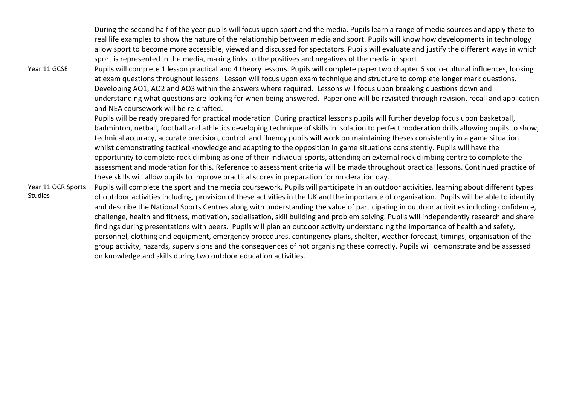|                    | During the second half of the year pupils will focus upon sport and the media. Pupils learn a range of media sources and apply these to      |
|--------------------|----------------------------------------------------------------------------------------------------------------------------------------------|
|                    | real life examples to show the nature of the relationship between media and sport. Pupils will know how developments in technology           |
|                    | allow sport to become more accessible, viewed and discussed for spectators. Pupils will evaluate and justify the different ways in which     |
|                    | sport is represented in the media, making links to the positives and negatives of the media in sport.                                        |
| Year 11 GCSE       | Pupils will complete 1 lesson practical and 4 theory lessons. Pupils will complete paper two chapter 6 socio-cultural influences, looking    |
|                    | at exam questions throughout lessons. Lesson will focus upon exam technique and structure to complete longer mark questions.                 |
|                    | Developing AO1, AO2 and AO3 within the answers where required. Lessons will focus upon breaking questions down and                           |
|                    | understanding what questions are looking for when being answered. Paper one will be revisited through revision, recall and application       |
|                    | and NEA coursework will be re-drafted.                                                                                                       |
|                    | Pupils will be ready prepared for practical moderation. During practical lessons pupils will further develop focus upon basketball,          |
|                    | badminton, netball, football and athletics developing technique of skills in isolation to perfect moderation drills allowing pupils to show, |
|                    | technical accuracy, accurate precision, control and fluency pupils will work on maintaining theses consistently in a game situation          |
|                    | whilst demonstrating tactical knowledge and adapting to the opposition in game situations consistently. Pupils will have the                 |
|                    | opportunity to complete rock climbing as one of their individual sports, attending an external rock climbing centre to complete the          |
|                    | assessment and moderation for this. Reference to assessment criteria will be made throughout practical lessons. Continued practice of        |
|                    | these skills will allow pupils to improve practical scores in preparation for moderation day.                                                |
| Year 11 OCR Sports | Pupils will complete the sport and the media coursework. Pupils will participate in an outdoor activities, learning about different types    |
| <b>Studies</b>     | of outdoor activities including, provision of these activities in the UK and the importance of organisation. Pupils will be able to identify |
|                    | and describe the National Sports Centres along with understanding the value of participating in outdoor activities including confidence,     |
|                    | challenge, health and fitness, motivation, socialisation, skill building and problem solving. Pupils will independently research and share   |
|                    | findings during presentations with peers. Pupils will plan an outdoor activity understanding the importance of health and safety,            |
|                    | personnel, clothing and equipment, emergency procedures, contingency plans, shelter, weather forecast, timings, organisation of the          |
|                    | group activity, hazards, supervisions and the consequences of not organising these correctly. Pupils will demonstrate and be assessed        |
|                    | on knowledge and skills during two outdoor education activities.                                                                             |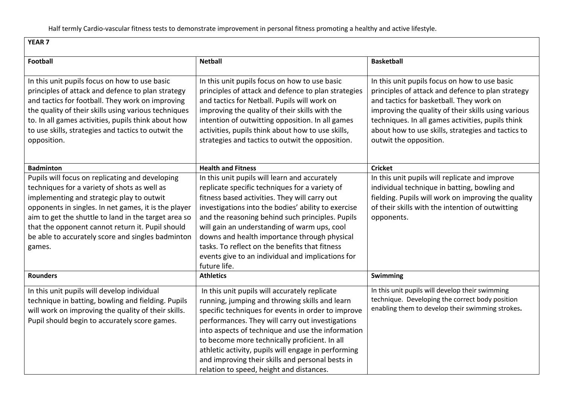<span id="page-4-1"></span><span id="page-4-0"></span>

| YEAR <sub>7</sub>                                                                                                                                                                                                                                                                                                                                                               |                                                                                                                                                                                                                                                                                                                                                                                                                                                                                    |                                                                                                                                                                                                                                                                                                                                            |
|---------------------------------------------------------------------------------------------------------------------------------------------------------------------------------------------------------------------------------------------------------------------------------------------------------------------------------------------------------------------------------|------------------------------------------------------------------------------------------------------------------------------------------------------------------------------------------------------------------------------------------------------------------------------------------------------------------------------------------------------------------------------------------------------------------------------------------------------------------------------------|--------------------------------------------------------------------------------------------------------------------------------------------------------------------------------------------------------------------------------------------------------------------------------------------------------------------------------------------|
| <b>Football</b>                                                                                                                                                                                                                                                                                                                                                                 | <b>Netball</b>                                                                                                                                                                                                                                                                                                                                                                                                                                                                     | <b>Basketball</b>                                                                                                                                                                                                                                                                                                                          |
| In this unit pupils focus on how to use basic<br>principles of attack and defence to plan strategy<br>and tactics for football. They work on improving<br>the quality of their skills using various techniques<br>to. In all games activities, pupils think about how<br>to use skills, strategies and tactics to outwit the<br>opposition.                                     | In this unit pupils focus on how to use basic<br>principles of attack and defence to plan strategies<br>and tactics for Netball. Pupils will work on<br>improving the quality of their skills with the<br>intention of outwitting opposition. In all games<br>activities, pupils think about how to use skills,<br>strategies and tactics to outwit the opposition.                                                                                                                | In this unit pupils focus on how to use basic<br>principles of attack and defence to plan strategy<br>and tactics for basketball. They work on<br>improving the quality of their skills using various<br>techniques. In all games activities, pupils think<br>about how to use skills, strategies and tactics to<br>outwit the opposition. |
| <b>Badminton</b>                                                                                                                                                                                                                                                                                                                                                                | <b>Health and Fitness</b>                                                                                                                                                                                                                                                                                                                                                                                                                                                          | <b>Cricket</b>                                                                                                                                                                                                                                                                                                                             |
| Pupils will focus on replicating and developing<br>techniques for a variety of shots as well as<br>implementing and strategic play to outwit<br>opponents in singles. In net games, it is the player<br>aim to get the shuttle to land in the target area so<br>that the opponent cannot return it. Pupil should<br>be able to accurately score and singles badminton<br>games. | In this unit pupils will learn and accurately<br>replicate specific techniques for a variety of<br>fitness based activities. They will carry out<br>investigations into the bodies' ability to exercise<br>and the reasoning behind such principles. Pupils<br>will gain an understanding of warm ups, cool<br>downs and health importance through physical<br>tasks. To reflect on the benefits that fitness<br>events give to an individual and implications for<br>future life. | In this unit pupils will replicate and improve<br>individual technique in batting, bowling and<br>fielding. Pupils will work on improving the quality<br>of their skills with the intention of outwitting<br>opponents.                                                                                                                    |
| <b>Rounders</b>                                                                                                                                                                                                                                                                                                                                                                 | <b>Athletics</b>                                                                                                                                                                                                                                                                                                                                                                                                                                                                   | Swimming                                                                                                                                                                                                                                                                                                                                   |
| In this unit pupils will develop individual<br>technique in batting, bowling and fielding. Pupils<br>will work on improving the quality of their skills.<br>Pupil should begin to accurately score games.                                                                                                                                                                       | In this unit pupils will accurately replicate<br>running, jumping and throwing skills and learn<br>specific techniques for events in order to improve<br>performances. They will carry out investigations<br>into aspects of technique and use the information<br>to become more technically proficient. In all<br>athletic activity, pupils will engage in performing<br>and improving their skills and personal bests in<br>relation to speed, height and distances.             | In this unit pupils will develop their swimming<br>technique. Developing the correct body position<br>enabling them to develop their swimming strokes.                                                                                                                                                                                     |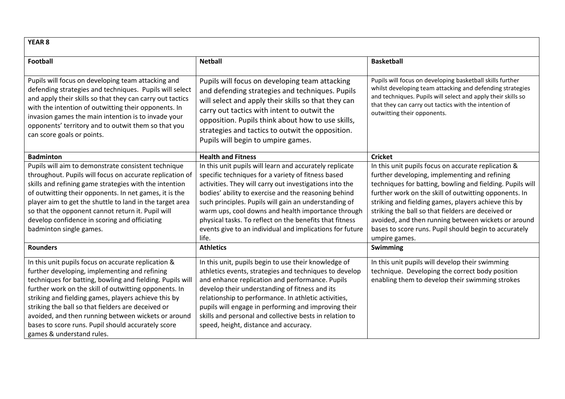| YEAR <sub>8</sub>                                                                                                                                                                                                                                                                                                                                                                                                                                                                  |                                                                                                                                                                                                                                                                                                                                                                                                                                                                                                     |                                                                                                                                                                                                                                                                                                                                                                                                                                                                           |
|------------------------------------------------------------------------------------------------------------------------------------------------------------------------------------------------------------------------------------------------------------------------------------------------------------------------------------------------------------------------------------------------------------------------------------------------------------------------------------|-----------------------------------------------------------------------------------------------------------------------------------------------------------------------------------------------------------------------------------------------------------------------------------------------------------------------------------------------------------------------------------------------------------------------------------------------------------------------------------------------------|---------------------------------------------------------------------------------------------------------------------------------------------------------------------------------------------------------------------------------------------------------------------------------------------------------------------------------------------------------------------------------------------------------------------------------------------------------------------------|
| <b>Football</b>                                                                                                                                                                                                                                                                                                                                                                                                                                                                    | <b>Netball</b>                                                                                                                                                                                                                                                                                                                                                                                                                                                                                      | <b>Basketball</b>                                                                                                                                                                                                                                                                                                                                                                                                                                                         |
| Pupils will focus on developing team attacking and<br>defending strategies and techniques. Pupils will select<br>and apply their skills so that they can carry out tactics<br>with the intention of outwitting their opponents. In<br>invasion games the main intention is to invade your<br>opponents' territory and to outwit them so that you<br>can score goals or points.                                                                                                     | Pupils will focus on developing team attacking<br>and defending strategies and techniques. Pupils<br>will select and apply their skills so that they can<br>carry out tactics with intent to outwit the<br>opposition. Pupils think about how to use skills,<br>strategies and tactics to outwit the opposition.<br>Pupils will begin to umpire games.                                                                                                                                              | Pupils will focus on developing basketball skills further<br>whilst developing team attacking and defending strategies<br>and techniques. Pupils will select and apply their skills so<br>that they can carry out tactics with the intention of<br>outwitting their opponents.                                                                                                                                                                                            |
| <b>Badminton</b>                                                                                                                                                                                                                                                                                                                                                                                                                                                                   | <b>Health and Fitness</b>                                                                                                                                                                                                                                                                                                                                                                                                                                                                           | <b>Cricket</b>                                                                                                                                                                                                                                                                                                                                                                                                                                                            |
| Pupils will aim to demonstrate consistent technique<br>throughout. Pupils will focus on accurate replication of<br>skills and refining game strategies with the intention<br>of outwitting their opponents. In net games, it is the<br>player aim to get the shuttle to land in the target area<br>so that the opponent cannot return it. Pupil will<br>develop confidence in scoring and officiating<br>badminton single games.<br><b>Rounders</b>                                | In this unit pupils will learn and accurately replicate<br>specific techniques for a variety of fitness based<br>activities. They will carry out investigations into the<br>bodies' ability to exercise and the reasoning behind<br>such principles. Pupils will gain an understanding of<br>warm ups, cool downs and health importance through<br>physical tasks. To reflect on the benefits that fitness<br>events give to an individual and implications for future<br>life.<br><b>Athletics</b> | In this unit pupils focus on accurate replication &<br>further developing, implementing and refining<br>techniques for batting, bowling and fielding. Pupils will<br>further work on the skill of outwitting opponents. In<br>striking and fielding games, players achieve this by<br>striking the ball so that fielders are deceived or<br>avoided, and then running between wickets or around<br>bases to score runs. Pupil should begin to accurately<br>umpire games. |
|                                                                                                                                                                                                                                                                                                                                                                                                                                                                                    |                                                                                                                                                                                                                                                                                                                                                                                                                                                                                                     | Swimming                                                                                                                                                                                                                                                                                                                                                                                                                                                                  |
| In this unit pupils focus on accurate replication &<br>further developing, implementing and refining<br>techniques for batting, bowling and fielding. Pupils will<br>further work on the skill of outwitting opponents. In<br>striking and fielding games, players achieve this by<br>striking the ball so that fielders are deceived or<br>avoided, and then running between wickets or around<br>bases to score runs. Pupil should accurately score<br>games & understand rules. | In this unit, pupils begin to use their knowledge of<br>athletics events, strategies and techniques to develop<br>and enhance replication and performance. Pupils<br>develop their understanding of fitness and its<br>relationship to performance. In athletic activities,<br>pupils will engage in performing and improving their<br>skills and personal and collective bests in relation to<br>speed, height, distance and accuracy.                                                             | In this unit pupils will develop their swimming<br>technique. Developing the correct body position<br>enabling them to develop their swimming strokes                                                                                                                                                                                                                                                                                                                     |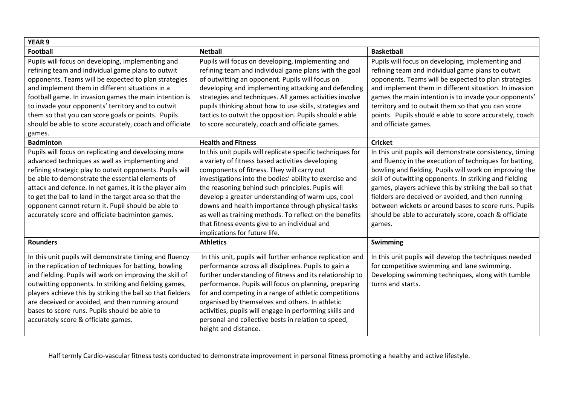| <b>YEAR 9</b>                                                                                                                                                                                                                                                                                                                                                                                                                                        |                                                                                                                                                                                                                                                                                                                                                                                                                                                                                                                                      |                                                                                                                                                                                                                                                                                                                                                                                                                                                                                         |
|------------------------------------------------------------------------------------------------------------------------------------------------------------------------------------------------------------------------------------------------------------------------------------------------------------------------------------------------------------------------------------------------------------------------------------------------------|--------------------------------------------------------------------------------------------------------------------------------------------------------------------------------------------------------------------------------------------------------------------------------------------------------------------------------------------------------------------------------------------------------------------------------------------------------------------------------------------------------------------------------------|-----------------------------------------------------------------------------------------------------------------------------------------------------------------------------------------------------------------------------------------------------------------------------------------------------------------------------------------------------------------------------------------------------------------------------------------------------------------------------------------|
| <b>Football</b>                                                                                                                                                                                                                                                                                                                                                                                                                                      | <b>Netball</b>                                                                                                                                                                                                                                                                                                                                                                                                                                                                                                                       | <b>Basketball</b>                                                                                                                                                                                                                                                                                                                                                                                                                                                                       |
| Pupils will focus on developing, implementing and<br>refining team and individual game plans to outwit<br>opponents. Teams will be expected to plan strategies<br>and implement them in different situations in a<br>football game. In invasion games the main intention is<br>to invade your opponents' territory and to outwit<br>them so that you can score goals or points. Pupils                                                               | Pupils will focus on developing, implementing and<br>refining team and individual game plans with the goal<br>of outwitting an opponent. Pupils will focus on<br>developing and implementing attacking and defending<br>strategies and techniques. All games activities involve<br>pupils thinking about how to use skills, strategies and<br>tactics to outwit the opposition. Pupils should e able                                                                                                                                 | Pupils will focus on developing, implementing and<br>refining team and individual game plans to outwit<br>opponents. Teams will be expected to plan strategies<br>and implement them in different situation. In invasion<br>games the main intention is to invade your opponents'<br>territory and to outwit them so that you can score<br>points. Pupils should e able to score accurately, coach                                                                                      |
| should be able to score accurately, coach and officiate<br>games.                                                                                                                                                                                                                                                                                                                                                                                    | to score accurately, coach and officiate games.                                                                                                                                                                                                                                                                                                                                                                                                                                                                                      | and officiate games.                                                                                                                                                                                                                                                                                                                                                                                                                                                                    |
| <b>Badminton</b>                                                                                                                                                                                                                                                                                                                                                                                                                                     | <b>Health and Fitness</b>                                                                                                                                                                                                                                                                                                                                                                                                                                                                                                            | <b>Cricket</b>                                                                                                                                                                                                                                                                                                                                                                                                                                                                          |
| Pupils will focus on replicating and developing more<br>advanced techniques as well as implementing and<br>refining strategic play to outwit opponents. Pupils will<br>be able to demonstrate the essential elements of<br>attack and defence. In net games, it is the player aim<br>to get the ball to land in the target area so that the<br>opponent cannot return it. Pupil should be able to<br>accurately score and officiate badminton games. | In this unit pupils will replicate specific techniques for<br>a variety of fitness based activities developing<br>components of fitness. They will carry out<br>investigations into the bodies' ability to exercise and<br>the reasoning behind such principles. Pupils will<br>develop a greater understanding of warm ups, cool<br>downs and health importance through physical tasks<br>as well as training methods. To reflect on the benefits<br>that fitness events give to an individual and<br>implications for future life. | In this unit pupils will demonstrate consistency, timing<br>and fluency in the execution of techniques for batting,<br>bowling and fielding. Pupils will work on improving the<br>skill of outwitting opponents. In striking and fielding<br>games, players achieve this by striking the ball so that<br>fielders are deceived or avoided, and then running<br>between wickets or around bases to score runs. Pupils<br>should be able to accurately score, coach & officiate<br>games. |
| <b>Rounders</b>                                                                                                                                                                                                                                                                                                                                                                                                                                      | <b>Athletics</b>                                                                                                                                                                                                                                                                                                                                                                                                                                                                                                                     | Swimming                                                                                                                                                                                                                                                                                                                                                                                                                                                                                |
| In this unit pupils will demonstrate timing and fluency<br>in the replication of techniques for batting, bowling<br>and fielding. Pupils will work on improving the skill of<br>outwitting opponents. In striking and fielding games,<br>players achieve this by striking the ball so that fielders<br>are deceived or avoided, and then running around<br>bases to score runs. Pupils should be able to<br>accurately score & officiate games.      | In this unit, pupils will further enhance replication and<br>performance across all disciplines. Pupils to gain a<br>further understanding of fitness and its relationship to<br>performance. Pupils will focus on planning, preparing<br>for and competing in a range of athletic competitions<br>organised by themselves and others. In athletic<br>activities, pupils will engage in performing skills and<br>personal and collective bests in relation to speed,<br>height and distance.                                         | In this unit pupils will develop the techniques needed<br>for competitive swimming and lane swimming.<br>Developing swimming techniques, along with tumble<br>turns and starts.                                                                                                                                                                                                                                                                                                         |

<span id="page-6-0"></span>Half termly Cardio-vascular fitness tests conducted to demonstrate improvement in personal fitness promoting a healthy and active lifestyle.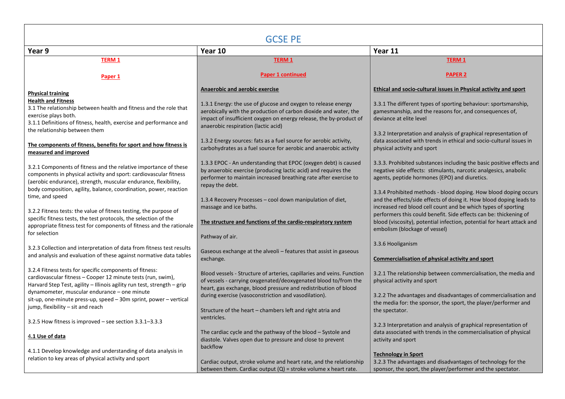<span id="page-7-0"></span>

| <b>GCSF PF</b>                                                                                                                                                                                                                 |                                                                                                                                                                                                                                                |                                                                                                                                                                                                          |
|--------------------------------------------------------------------------------------------------------------------------------------------------------------------------------------------------------------------------------|------------------------------------------------------------------------------------------------------------------------------------------------------------------------------------------------------------------------------------------------|----------------------------------------------------------------------------------------------------------------------------------------------------------------------------------------------------------|
| Year 9                                                                                                                                                                                                                         | Year 10                                                                                                                                                                                                                                        | Year 11                                                                                                                                                                                                  |
| <b>TERM 1</b>                                                                                                                                                                                                                  | <b>TERM 1</b>                                                                                                                                                                                                                                  | <b>TERM 1</b>                                                                                                                                                                                            |
| Paper 1                                                                                                                                                                                                                        | <b>Paper 1 continued</b>                                                                                                                                                                                                                       | <b>PAPER 2</b>                                                                                                                                                                                           |
| <b>Physical training</b><br><b>Health and Fitness</b>                                                                                                                                                                          | <b>Anaerobic and aerobic exercise</b>                                                                                                                                                                                                          | Ethical and socio-cultural issues in Physical activity and sport                                                                                                                                         |
| 3.1 The relationship between health and fitness and the role that<br>exercise plays both.<br>3.1.1 Definitions of fitness, health, exercise and performance and<br>the relationship between them                               | 1.3.1 Energy: the use of glucose and oxygen to release energy<br>aerobically with the production of carbon dioxide and water, the<br>impact of insufficient oxygen on energy release, the by-product of<br>anaerobic respiration (lactic acid) | 3.3.1 The different types of sporting behaviour: sportsmanship,<br>gamesmanship, and the reasons for, and consequences of,<br>deviance at elite level                                                    |
| The components of fitness, benefits for sport and how fitness is<br>measured and improved                                                                                                                                      | 1.3.2 Energy sources: fats as a fuel source for aerobic activity,<br>carbohydrates as a fuel source for aerobic and anaerobic activity                                                                                                         | 3.3.2 Interpretation and analysis of graphical representation of<br>data associated with trends in ethical and socio-cultural issues in<br>physical activity and sport                                   |
| 3.2.1 Components of fitness and the relative importance of these<br>components in physical activity and sport: cardiovascular fitness<br>(aerobic endurance), strength, muscular endurance, flexibility,                       | 1.3.3 EPOC - An understanding that EPOC (oxygen debt) is caused<br>by anaerobic exercise (producing lactic acid) and requires the<br>performer to maintain increased breathing rate after exercise to<br>repay the debt.                       | 3.3.3. Prohibited substances including the basic positive effects and<br>negative side effects: stimulants, narcotic analgesics, anabolic<br>agents, peptide hormones (EPO) and diuretics.               |
| body composition, agility, balance, coordination, power, reaction<br>time, and speed                                                                                                                                           | 1.3.4 Recovery Processes - cool down manipulation of diet,<br>massage and ice baths.                                                                                                                                                           | 3.3.4 Prohibited methods - blood doping. How blood doping occurs<br>and the effects/side effects of doing it. How blood doping leads to<br>increased red blood cell count and be which types of sporting |
| 3.2.2 Fitness tests: the value of fitness testing, the purpose of<br>specific fitness tests, the test protocols, the selection of the<br>appropriate fitness test for components of fitness and the rationale<br>for selection | The structure and functions of the cardio-respiratory system<br>Pathway of air.                                                                                                                                                                | performers this could benefit. Side effects can be: thickening of<br>blood (viscosity), potential infection, potential for heart attack and<br>embolism (blockage of vessel)                             |
| 3.2.3 Collection and interpretation of data from fitness test results<br>and analysis and evaluation of these against normative data tables                                                                                    | Gaseous exchange at the alveoli - features that assist in gaseous<br>exchange.                                                                                                                                                                 | 3.3.6 Hooliganism<br>Commercialisation of physical activity and sport                                                                                                                                    |
| 3.2.4 Fitness tests for specific components of fitness:<br>cardiovascular fitness - Cooper 12 minute tests (run, swim),<br>Harvard Step Test, agility - Illinois agility run test, strength - grip                             | Blood vessels - Structure of arteries, capillaries and veins. Function<br>of vessels - carrying oxygenated/deoxygenated blood to/from the<br>heart, gas exchange, blood pressure and redistribution of blood                                   | 3.2.1 The relationship between commercialisation, the media and<br>physical activity and sport                                                                                                           |
| dynamometer, muscular endurance - one minute<br>sit-up, one-minute press-up, speed - 30m sprint, power - vertical<br>jump, flexibility - sit and reach                                                                         | during exercise (vasoconstriction and vasodilation).<br>Structure of the heart - chambers left and right atria and<br>ventricles.                                                                                                              | 3.2.2 The advantages and disadvantages of commercialisation and<br>the media for: the sponsor, the sport, the player/performer and<br>the spectator.                                                     |
| 3.2.5 How fitness is improved - see section 3.3.1-3.3.3                                                                                                                                                                        | The cardiac cycle and the pathway of the blood - Systole and                                                                                                                                                                                   | 3.2.3 Interpretation and analysis of graphical representation of<br>data associated with trends in the commercialisation of physical                                                                     |
| 4.1 Use of data<br>4.1.1 Develop knowledge and understanding of data analysis in                                                                                                                                               | diastole. Valves open due to pressure and close to prevent<br>backflow                                                                                                                                                                         | activity and sport                                                                                                                                                                                       |
| relation to key areas of physical activity and sport                                                                                                                                                                           | Cardiac output, stroke volume and heart rate, and the relationship<br>between them. Cardiac output $(Q)$ = stroke volume x heart rate.                                                                                                         | <b>Technology in Sport</b><br>3.2.3 The advantages and disadvantages of technology for the<br>sponsor, the sport, the player/performer and the spectator.                                                |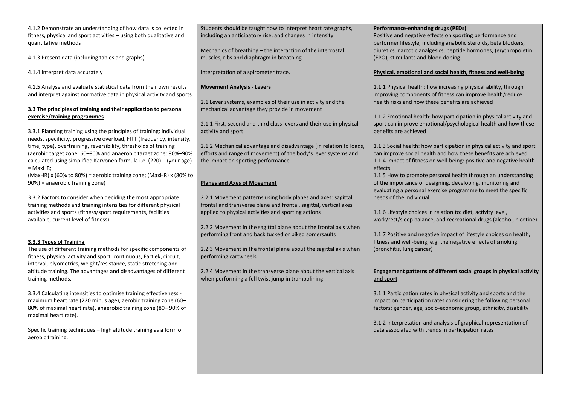| 4.1.2 Demonstrate an understanding of how data is collected in<br>fitness, physical and sport activities - using both qualitative and<br>quantitative methods<br>4.1.3 Present data (including tables and graphs)                                                                                                                                                                                                                                                                                                                                                                                                                                                                                                                                                                                                                                                                                                                                                                 | Students should be taught how to interpret heart rate graphs,<br>including an anticipatory rise, and changes in intensity.<br>Mechanics of breathing – the interaction of the intercostal<br>muscles, ribs and diaphragm in breathing                                                                                                                                                                                                                                                                                                                                                                                                                             | Performance-enhancing drugs (PEDs)<br>Positive and negative effects on sporting performance and<br>performer lifestyle, including anabolic steroids, beta blockers,<br>diuretics, narcotic analgesics, peptide hormones, (erythropoietin<br>(EPO), stimulants and blood doping.                                                                                                                                                                                                                                                                                                                                                                                                                                                                                                                                                                                                                                                                  |
|-----------------------------------------------------------------------------------------------------------------------------------------------------------------------------------------------------------------------------------------------------------------------------------------------------------------------------------------------------------------------------------------------------------------------------------------------------------------------------------------------------------------------------------------------------------------------------------------------------------------------------------------------------------------------------------------------------------------------------------------------------------------------------------------------------------------------------------------------------------------------------------------------------------------------------------------------------------------------------------|-------------------------------------------------------------------------------------------------------------------------------------------------------------------------------------------------------------------------------------------------------------------------------------------------------------------------------------------------------------------------------------------------------------------------------------------------------------------------------------------------------------------------------------------------------------------------------------------------------------------------------------------------------------------|--------------------------------------------------------------------------------------------------------------------------------------------------------------------------------------------------------------------------------------------------------------------------------------------------------------------------------------------------------------------------------------------------------------------------------------------------------------------------------------------------------------------------------------------------------------------------------------------------------------------------------------------------------------------------------------------------------------------------------------------------------------------------------------------------------------------------------------------------------------------------------------------------------------------------------------------------|
| 4.1.4 Interpret data accurately                                                                                                                                                                                                                                                                                                                                                                                                                                                                                                                                                                                                                                                                                                                                                                                                                                                                                                                                                   | Interpretation of a spirometer trace.                                                                                                                                                                                                                                                                                                                                                                                                                                                                                                                                                                                                                             | Physical, emotional and social health, fitness and well-being                                                                                                                                                                                                                                                                                                                                                                                                                                                                                                                                                                                                                                                                                                                                                                                                                                                                                    |
| 4.1.5 Analyse and evaluate statistical data from their own results<br>and interpret against normative data in physical activity and sports<br>3.3 The principles of training and their application to personal<br>exercise/training programmes<br>3.3.1 Planning training using the principles of training: individual<br>needs, specificity, progressive overload, FITT (frequency, intensity,<br>time, type), overtraining, reversibility, thresholds of training<br>(aerobic target zone: 60-80% and anaerobic target zone: 80%-90%<br>calculated using simplified Karvonen formula i.e. (220) - (your age)<br>$=$ MaxHR;<br>(MaxHR) x (60% to 80%) = aerobic training zone; (MaxHR) x (80% to<br>90%) = anaerobic training zone)<br>3.3.2 Factors to consider when deciding the most appropriate<br>training methods and training intensities for different physical<br>activities and sports (fitness/sport requirements, facilities<br>available, current level of fitness) | <b>Movement Analysis - Levers</b><br>2.1 Lever systems, examples of their use in activity and the<br>mechanical advantage they provide in movement<br>2.1.1 First, second and third class levers and their use in physical<br>activity and sport<br>2.1.2 Mechanical advantage and disadvantage (in relation to loads,<br>efforts and range of movement) of the body's lever systems and<br>the impact on sporting performance<br><b>Planes and Axes of Movement</b><br>2.2.1 Movement patterns using body planes and axes: sagittal,<br>frontal and transverse plane and frontal, sagittal, vertical axes<br>applied to physical activities and sporting actions | 1.1.1 Physical health: how increasing physical ability, through<br>improving components of fitness can improve health/reduce<br>health risks and how these benefits are achieved<br>1.1.2 Emotional health: how participation in physical activity and<br>sport can improve emotional/psychological health and how these<br>benefits are achieved<br>1.1.3 Social health: how participation in physical activity and sport<br>can improve social health and how these benefits are achieved<br>1.1.4 Impact of fitness on well-being: positive and negative health<br>effects<br>1.1.5 How to promote personal health through an understanding<br>of the importance of designing, developing, monitoring and<br>evaluating a personal exercise programme to meet the specific<br>needs of the individual<br>1.1.6 Lifestyle choices in relation to: diet, activity level,<br>work/rest/sleep balance, and recreational drugs (alcohol, nicotine) |
| 3.3.3 Types of Training<br>The use of different training methods for specific components of<br>fitness, physical activity and sport: continuous, Fartlek, circuit,<br>interval, plyometrics, weight/resistance, static stretching and<br>altitude training. The advantages and disadvantages of different<br>training methods.<br>3.3.4 Calculating intensities to optimise training effectiveness -<br>maximum heart rate (220 minus age), aerobic training zone (60-<br>80% of maximal heart rate), anaerobic training zone (80-90% of<br>maximal heart rate).<br>Specific training techniques – high altitude training as a form of<br>aerobic training.                                                                                                                                                                                                                                                                                                                       | 2.2.2 Movement in the sagittal plane about the frontal axis when<br>performing front and back tucked or piked somersaults<br>2.2.3 Movement in the frontal plane about the sagittal axis when<br>performing cartwheels<br>2.2.4 Movement in the transverse plane about the vertical axis<br>when performing a full twist jump in trampolining                                                                                                                                                                                                                                                                                                                     | 1.1.7 Positive and negative impact of lifestyle choices on health,<br>fitness and well-being, e.g. the negative effects of smoking<br>(bronchitis, lung cancer)<br><b>Engagement patterns of different social groups in physical activity</b><br>and sport<br>3.1.1 Participation rates in physical activity and sports and the<br>impact on participation rates considering the following personal<br>factors: gender, age, socio-economic group, ethnicity, disability<br>3.1.2 Interpretation and analysis of graphical representation of<br>data associated with trends in participation rates                                                                                                                                                                                                                                                                                                                                               |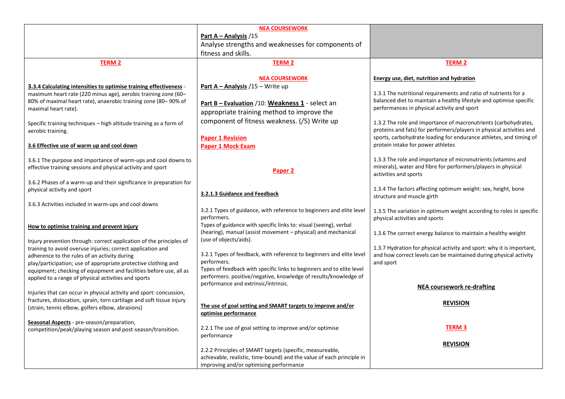|                                                                                                                                                                                                                                                                                                                                                                         | <b>NEA COURSEWORK</b>                                                                                                                                                                                                                                                                                                                                        |                                                                                                                                        |
|-------------------------------------------------------------------------------------------------------------------------------------------------------------------------------------------------------------------------------------------------------------------------------------------------------------------------------------------------------------------------|--------------------------------------------------------------------------------------------------------------------------------------------------------------------------------------------------------------------------------------------------------------------------------------------------------------------------------------------------------------|----------------------------------------------------------------------------------------------------------------------------------------|
|                                                                                                                                                                                                                                                                                                                                                                         | Part A - Analysis /15                                                                                                                                                                                                                                                                                                                                        |                                                                                                                                        |
|                                                                                                                                                                                                                                                                                                                                                                         | Analyse strengths and weaknesses for components of                                                                                                                                                                                                                                                                                                           |                                                                                                                                        |
|                                                                                                                                                                                                                                                                                                                                                                         | fitness and skills.                                                                                                                                                                                                                                                                                                                                          |                                                                                                                                        |
| <b>TERM 2</b>                                                                                                                                                                                                                                                                                                                                                           | <b>TERM 2</b>                                                                                                                                                                                                                                                                                                                                                | <b>TERM 2</b>                                                                                                                          |
|                                                                                                                                                                                                                                                                                                                                                                         |                                                                                                                                                                                                                                                                                                                                                              |                                                                                                                                        |
|                                                                                                                                                                                                                                                                                                                                                                         | <b>NEA COURSEWORK</b>                                                                                                                                                                                                                                                                                                                                        | <b>Energy use, diet, nutrition and hydration</b>                                                                                       |
| 3.3.4 Calculating intensities to optimise training effectiveness -                                                                                                                                                                                                                                                                                                      | Part A - Analysis /15 - Write up                                                                                                                                                                                                                                                                                                                             |                                                                                                                                        |
| maximum heart rate (220 minus age), aerobic training zone (60-                                                                                                                                                                                                                                                                                                          |                                                                                                                                                                                                                                                                                                                                                              | 1.3.1 The nutritional requirements and ratio of nutrients for a<br>balanced diet to maintain a healthy lifestyle and optimise specific |
| 80% of maximal heart rate), anaerobic training zone (80-90% of<br>maximal heart rate).                                                                                                                                                                                                                                                                                  | Part B - Evaluation /10: Weakness 1 - select an                                                                                                                                                                                                                                                                                                              | performances in physical activity and sport                                                                                            |
|                                                                                                                                                                                                                                                                                                                                                                         | appropriate training method to improve the                                                                                                                                                                                                                                                                                                                   |                                                                                                                                        |
| Specific training techniques - high altitude training as a form of                                                                                                                                                                                                                                                                                                      | component of fitness weakness. (/5) Write up                                                                                                                                                                                                                                                                                                                 | 1.3.2 The role and importance of macronutrients (carbohydrates,                                                                        |
| aerobic training.                                                                                                                                                                                                                                                                                                                                                       |                                                                                                                                                                                                                                                                                                                                                              | proteins and fats) for performers/players in physical activities and                                                                   |
|                                                                                                                                                                                                                                                                                                                                                                         | <b>Paper 1 Revision</b>                                                                                                                                                                                                                                                                                                                                      | sports, carbohydrate loading for endurance athletes, and timing of                                                                     |
| 3.6 Effective use of warm up and cool down                                                                                                                                                                                                                                                                                                                              | <b>Paper 1 Mock Exam</b>                                                                                                                                                                                                                                                                                                                                     | protein intake for power athletes                                                                                                      |
| 3.6.1 The purpose and importance of warm-ups and cool downs to                                                                                                                                                                                                                                                                                                          |                                                                                                                                                                                                                                                                                                                                                              | 1.3.3 The role and importance of micronutrients (vitamins and                                                                          |
| effective training sessions and physical activity and sport                                                                                                                                                                                                                                                                                                             |                                                                                                                                                                                                                                                                                                                                                              | minerals), water and fibre for performers/players in physical                                                                          |
|                                                                                                                                                                                                                                                                                                                                                                         | Paper <sub>2</sub>                                                                                                                                                                                                                                                                                                                                           | activities and sports                                                                                                                  |
| 3.6.2 Phases of a warm-up and their significance in preparation for                                                                                                                                                                                                                                                                                                     |                                                                                                                                                                                                                                                                                                                                                              |                                                                                                                                        |
| physical activity and sport                                                                                                                                                                                                                                                                                                                                             | 3.2.1.3 Guidance and Feedback                                                                                                                                                                                                                                                                                                                                | 1.3.4 The factors affecting optimum weight: sex, height, bone                                                                          |
|                                                                                                                                                                                                                                                                                                                                                                         |                                                                                                                                                                                                                                                                                                                                                              | structure and muscle girth                                                                                                             |
| 3.6.3 Activities included in warm-ups and cool downs                                                                                                                                                                                                                                                                                                                    | 3.2.1 Types of guidance, with reference to beginners and elite level                                                                                                                                                                                                                                                                                         | 1.3.5 The variation in optimum weight according to roles in specific                                                                   |
|                                                                                                                                                                                                                                                                                                                                                                         | performers.                                                                                                                                                                                                                                                                                                                                                  | physical activities and sports                                                                                                         |
| How to optimise training and prevent injury                                                                                                                                                                                                                                                                                                                             | Types of guidance with specific links to: visual (seeing), verbal                                                                                                                                                                                                                                                                                            |                                                                                                                                        |
|                                                                                                                                                                                                                                                                                                                                                                         | (hearing), manual (assist movement - physical) and mechanical                                                                                                                                                                                                                                                                                                | 1.3.6 The correct energy balance to maintain a healthy weight                                                                          |
| Injury prevention through: correct application of the principles of                                                                                                                                                                                                                                                                                                     | (use of objects/aids).                                                                                                                                                                                                                                                                                                                                       |                                                                                                                                        |
| training to avoid overuse injuries; correct application and                                                                                                                                                                                                                                                                                                             | 3.2.1 Types of feedback, with reference to beginners and elite level                                                                                                                                                                                                                                                                                         | 1.3.7 Hydration for physical activity and sport: why it is important,                                                                  |
| adherence to the rules of an activity during                                                                                                                                                                                                                                                                                                                            |                                                                                                                                                                                                                                                                                                                                                              | and how correct levels can be maintained during physical activity                                                                      |
|                                                                                                                                                                                                                                                                                                                                                                         |                                                                                                                                                                                                                                                                                                                                                              |                                                                                                                                        |
|                                                                                                                                                                                                                                                                                                                                                                         | performers: positive/negative, knowledge of results/knowledge of                                                                                                                                                                                                                                                                                             |                                                                                                                                        |
|                                                                                                                                                                                                                                                                                                                                                                         | performance and extrinsic/intrinsic.                                                                                                                                                                                                                                                                                                                         |                                                                                                                                        |
| Injuries that can occur in physical activity and sport: concussion,                                                                                                                                                                                                                                                                                                     |                                                                                                                                                                                                                                                                                                                                                              |                                                                                                                                        |
|                                                                                                                                                                                                                                                                                                                                                                         |                                                                                                                                                                                                                                                                                                                                                              | <b>REVISION</b>                                                                                                                        |
|                                                                                                                                                                                                                                                                                                                                                                         |                                                                                                                                                                                                                                                                                                                                                              |                                                                                                                                        |
|                                                                                                                                                                                                                                                                                                                                                                         |                                                                                                                                                                                                                                                                                                                                                              |                                                                                                                                        |
| competition/peak/playing season and post-season/transition.                                                                                                                                                                                                                                                                                                             | 2.2.1 The use of goal setting to improve and/or optimise                                                                                                                                                                                                                                                                                                     | <b>TERM 3</b>                                                                                                                          |
|                                                                                                                                                                                                                                                                                                                                                                         | performance                                                                                                                                                                                                                                                                                                                                                  |                                                                                                                                        |
|                                                                                                                                                                                                                                                                                                                                                                         |                                                                                                                                                                                                                                                                                                                                                              | <b>REVISION</b>                                                                                                                        |
|                                                                                                                                                                                                                                                                                                                                                                         |                                                                                                                                                                                                                                                                                                                                                              |                                                                                                                                        |
|                                                                                                                                                                                                                                                                                                                                                                         |                                                                                                                                                                                                                                                                                                                                                              |                                                                                                                                        |
| play/participation; use of appropriate protective clothing and<br>equipment; checking of equipment and facilities before use, all as<br>applied to a range of physical activities and sports<br>fractures, dislocation, sprain, torn cartilage and soft tissue injury<br>(strain, tennis elbow, golfers elbow, abrasions)<br>Seasonal Aspects - pre-season/preparation, | performers.<br>Types of feedback with specific links to beginners and to elite level<br>The use of goal setting and SMART targets to improve and/or<br>optimise performance<br>2.2.2 Principles of SMART targets (specific, measureable,<br>achievable, realistic, time-bound) and the value of each principle in<br>improving and/or optimising performance | and sport<br><b>NEA coursework re-drafting</b>                                                                                         |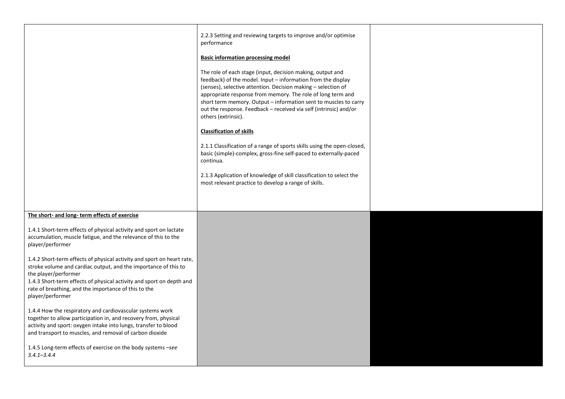|                                                                                                                                                                                                                                                                                                                       | 2.2.3 Setting and reviewing targets to improve and/or optimise<br>performance<br><b>Basic information processing model</b><br>The role of each stage (input, decision making, output and<br>feedback) of the model. Input - information from the display<br>(senses), selective attention. Decision making - selection of<br>appropriate response from memory. The role of long term and<br>short term memory. Output - information sent to muscles to carry<br>out the response. Feedback - received via self (intrinsic) and/or<br>others (extrinsic).<br><b>Classification of skills</b><br>2.1.1 Classification of a range of sports skills using the open-closed,<br>basic (simple)-complex, gross-fine self-paced to externally-paced<br>continua.<br>2.1.3 Application of knowledge of skill classification to select the<br>most relevant practice to develop a range of skills. |  |
|-----------------------------------------------------------------------------------------------------------------------------------------------------------------------------------------------------------------------------------------------------------------------------------------------------------------------|------------------------------------------------------------------------------------------------------------------------------------------------------------------------------------------------------------------------------------------------------------------------------------------------------------------------------------------------------------------------------------------------------------------------------------------------------------------------------------------------------------------------------------------------------------------------------------------------------------------------------------------------------------------------------------------------------------------------------------------------------------------------------------------------------------------------------------------------------------------------------------------|--|
|                                                                                                                                                                                                                                                                                                                       |                                                                                                                                                                                                                                                                                                                                                                                                                                                                                                                                                                                                                                                                                                                                                                                                                                                                                          |  |
|                                                                                                                                                                                                                                                                                                                       |                                                                                                                                                                                                                                                                                                                                                                                                                                                                                                                                                                                                                                                                                                                                                                                                                                                                                          |  |
| The short- and long- term effects of exercise                                                                                                                                                                                                                                                                         |                                                                                                                                                                                                                                                                                                                                                                                                                                                                                                                                                                                                                                                                                                                                                                                                                                                                                          |  |
| 1.4.1 Short-term effects of physical activity and sport on lactate<br>accumulation, muscle fatigue, and the relevance of this to the<br>player/performer                                                                                                                                                              |                                                                                                                                                                                                                                                                                                                                                                                                                                                                                                                                                                                                                                                                                                                                                                                                                                                                                          |  |
| 1.4.2 Short-term effects of physical activity and sport on heart rate,<br>stroke volume and cardiac output, and the importance of this to<br>the player/performer<br>1.4.3 Short-term effects of physical activity and sport on depth and<br>rate of breathing, and the importance of this to the<br>player/performer |                                                                                                                                                                                                                                                                                                                                                                                                                                                                                                                                                                                                                                                                                                                                                                                                                                                                                          |  |
| 1.4.4 How the respiratory and cardiovascular systems work<br>together to allow participation in, and recovery from, physical<br>activity and sport: oxygen intake into lungs, transfer to blood<br>and transport to muscles, and removal of carbon dioxide                                                            |                                                                                                                                                                                                                                                                                                                                                                                                                                                                                                                                                                                                                                                                                                                                                                                                                                                                                          |  |
| 1.4.5 Long-term effects of exercise on the body systems -see<br>$3.4.1 - 3.4.4$                                                                                                                                                                                                                                       |                                                                                                                                                                                                                                                                                                                                                                                                                                                                                                                                                                                                                                                                                                                                                                                                                                                                                          |  |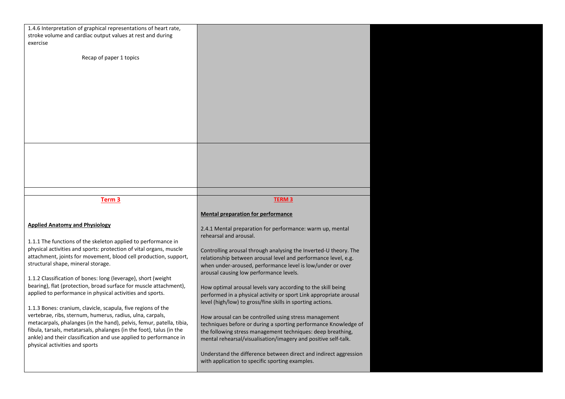| 1.4.6 Interpretation of graphical representations of heart rate,<br>stroke volume and cardiac output values at rest and during         |                                                                                                                                    |  |
|----------------------------------------------------------------------------------------------------------------------------------------|------------------------------------------------------------------------------------------------------------------------------------|--|
| exercise                                                                                                                               |                                                                                                                                    |  |
| Recap of paper 1 topics                                                                                                                |                                                                                                                                    |  |
|                                                                                                                                        |                                                                                                                                    |  |
|                                                                                                                                        |                                                                                                                                    |  |
|                                                                                                                                        |                                                                                                                                    |  |
|                                                                                                                                        |                                                                                                                                    |  |
|                                                                                                                                        |                                                                                                                                    |  |
|                                                                                                                                        |                                                                                                                                    |  |
|                                                                                                                                        |                                                                                                                                    |  |
|                                                                                                                                        |                                                                                                                                    |  |
|                                                                                                                                        |                                                                                                                                    |  |
|                                                                                                                                        |                                                                                                                                    |  |
|                                                                                                                                        |                                                                                                                                    |  |
|                                                                                                                                        |                                                                                                                                    |  |
| Term 3                                                                                                                                 | <b>TERM 3</b>                                                                                                                      |  |
|                                                                                                                                        | <b>Mental preparation for performance</b>                                                                                          |  |
| <b>Applied Anatomy and Physiology</b>                                                                                                  | 2.4.1 Mental preparation for performance: warm up, mental<br>rehearsal and arousal.                                                |  |
| 1.1.1 The functions of the skeleton applied to performance in                                                                          |                                                                                                                                    |  |
| physical activities and sports: protection of vital organs, muscle<br>attachment, joints for movement, blood cell production, support, | Controlling arousal through analysing the Inverted-U theory. The<br>relationship between arousal level and performance level, e.g. |  |
| structural shape, mineral storage.                                                                                                     | when under-aroused, performance level is low/under or over                                                                         |  |
| 1.1.2 Classification of bones: long (leverage), short (weight                                                                          | arousal causing low performance levels.                                                                                            |  |
| bearing), flat (protection, broad surface for muscle attachment),                                                                      | How optimal arousal levels vary according to the skill being                                                                       |  |
| applied to performance in physical activities and sports.                                                                              | performed in a physical activity or sport Link appropriate arousal                                                                 |  |
| 1.1.3 Bones: cranium, clavicle, scapula, five regions of the                                                                           | level (high/low) to gross/fine skills in sporting actions.                                                                         |  |
| vertebrae, ribs, sternum, humerus, radius, ulna, carpals,<br>metacarpals, phalanges (in the hand), pelvis, femur, patella, tibia,      | How arousal can be controlled using stress management                                                                              |  |
| fibula, tarsals, metatarsals, phalanges (in the foot), talus (in the                                                                   | techniques before or during a sporting performance Knowledge of<br>the following stress management techniques: deep breathing,     |  |
| ankle) and their classification and use applied to performance in                                                                      | mental rehearsal/visualisation/imagery and positive self-talk.                                                                     |  |
| physical activities and sports                                                                                                         | Understand the difference between direct and indirect aggression                                                                   |  |
|                                                                                                                                        | with application to specific sporting examples.                                                                                    |  |
|                                                                                                                                        |                                                                                                                                    |  |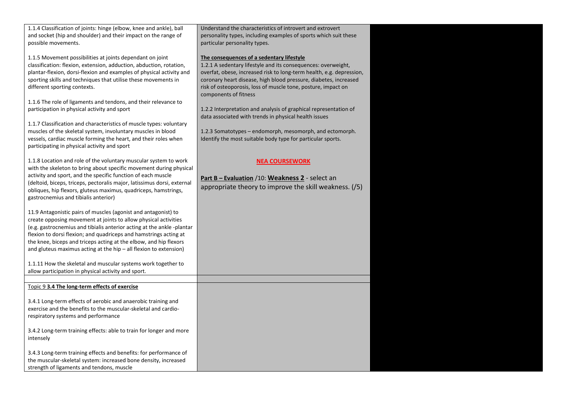| 1.1.4 Classification of joints: hinge (elbow, knee and ankle), ball |
|---------------------------------------------------------------------|
| and socket (hip and shoulder) and their impact on the range of      |
| possible movements.                                                 |

1.1.5 Movement possibilities at joints dependant on joint classification: flexion, extension, adduction, abduction, rotation, plantar-flexion, dorsi-flexion and examples of physical activity and sporting skills and techniques that utilise these movements in different sporting contexts.

1.1.6 The role of ligaments and tendons, and their relevance to participation in physical activity and sport

1.1.7 Classification and characteristics of muscle types: voluntary muscles of the skeletal system, involuntary muscles in blood vessels, cardiac muscle forming the heart, and their roles when participating in physical activity and sport

1.1.8 Location and role of the voluntary muscular system to work with the skeleton to bring about specific movement during physical activity and sport, and the specific function of each muscle (deltoid, biceps, triceps, pectoralis major, latissimus dorsi, external obliques, hip flexors, gluteus maximus, quadriceps, hamstrings, gastrocnemius and tibialis anterior)

11.9 Antagonistic pairs of muscles (agonist and antagonist) to create opposing movement at joints to allow physical activities (e.g. gastrocnemius and tibialis anterior acting at the ankle -plantar flexion to dorsi flexion; and quadriceps and hamstrings acting at the knee, biceps and triceps acting at the elbow, and hip flexors and gluteus maximus acting at the hip – all flexion to extension)

1.1.11 How the skeletal and muscular systems work together to allow participation in physical activity and sport.

#### Topic 9 **3.4 The long-term effects of exercise**

3.4.1 Long-term effects of aerobic and anaerobic training and exercise and the benefits to the muscular-skeletal and cardiorespiratory systems and performance

3.4.2 Long-term training effects: able to train for longer and more intensely

3.4.3 Long-term training effects and benefits: for performance of the muscular-skeletal system: increased bone density, increased strength of ligaments and tendons, muscle

Understand the characteristics of introvert and extrovert personality types, including examples of sports which suit these particular personality types.

#### **The consequences of a sedentary lifestyle**

1.2.1 A sedentary lifestyle and its consequences: overweight, overfat, obese, increased risk to long-term health, e.g. depression, coronary heart disease, high blood pressure, diabetes, increased risk of osteoporosis, loss of muscle tone, posture, impact on components of fitness

1.2.2 Interpretation and analysis of graphical representation of data associated with trends in physical health issues

1.2.3 Somatotypes – endomorph, mesomorph, and ectomorph. Identify the most suitable body type for particular sports.

#### **NEA COURSEWORK**

**Part B – Evaluation** /10: **Weakness 2** - select an appropriate theory to improve the skill weakness. (/5)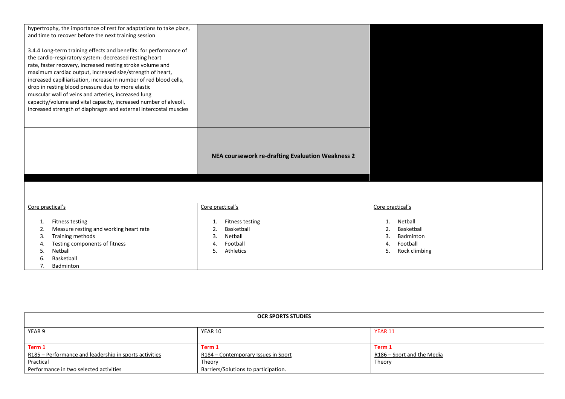| hypertrophy, the importance of rest for adaptations to take place,<br>and time to recover before the next training session<br>3.4.4 Long-term training effects and benefits: for performance of<br>the cardio-respiratory system: decreased resting heart<br>rate, faster recovery, increased resting stroke volume and<br>maximum cardiac output, increased size/strength of heart,<br>increased capilliarisation, increase in number of red blood cells,<br>drop in resting blood pressure due to more elastic<br>muscular wall of veins and arteries, increased lung<br>capacity/volume and vital capacity, increased number of alveoli,<br>increased strength of diaphragm and external intercostal muscles |                                                                                                 |                                                                                               |
|-----------------------------------------------------------------------------------------------------------------------------------------------------------------------------------------------------------------------------------------------------------------------------------------------------------------------------------------------------------------------------------------------------------------------------------------------------------------------------------------------------------------------------------------------------------------------------------------------------------------------------------------------------------------------------------------------------------------|-------------------------------------------------------------------------------------------------|-----------------------------------------------------------------------------------------------|
|                                                                                                                                                                                                                                                                                                                                                                                                                                                                                                                                                                                                                                                                                                                 | NEA coursework re-drafting Evaluation Weakness 2                                                |                                                                                               |
|                                                                                                                                                                                                                                                                                                                                                                                                                                                                                                                                                                                                                                                                                                                 |                                                                                                 |                                                                                               |
| Core practical's                                                                                                                                                                                                                                                                                                                                                                                                                                                                                                                                                                                                                                                                                                | Core practical's                                                                                | Core practical's                                                                              |
| Fitness testing<br>1.<br>Measure resting and working heart rate<br>2.<br>Training methods<br>3.<br>Testing components of fitness<br>4.<br>Netball<br>5<br>Basketball<br>Badminton<br>7.                                                                                                                                                                                                                                                                                                                                                                                                                                                                                                                         | Fitness testing<br>1.<br>Basketball<br>2.<br>Netball<br>3.<br>Football<br>4.<br>Athletics<br>5. | Netball<br>1.<br>Basketball<br>2.<br>Badminton<br>3.<br>Football<br>4.<br>Rock climbing<br>5. |

<span id="page-13-0"></span>

| <b>OCR SPORTS STUDIES</b>                              |                                      |                            |  |  |
|--------------------------------------------------------|--------------------------------------|----------------------------|--|--|
| YEAR 9                                                 | YEAR 10                              | YEAR 11                    |  |  |
| Term 1                                                 | Term 1                               | Term 1                     |  |  |
| R185 – Performance and leadership in sports activities | R184 – Contemporary Issues in Sport  | R186 – Sport and the Media |  |  |
| Practical                                              | Theory                               | Theory                     |  |  |
| Performance in two selected activities                 | Barriers/Solutions to participation. |                            |  |  |